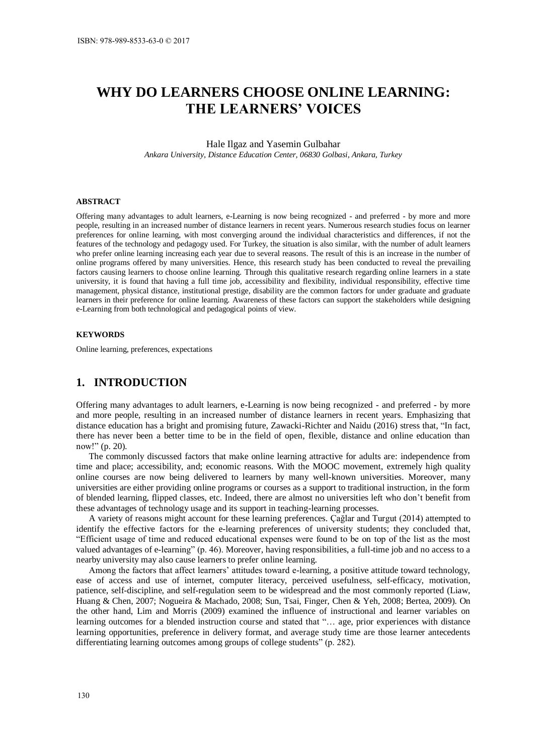# **WHY DO LEARNERS CHOOSE ONLINE LEARNING: THE LEARNERS' VOICES**

#### Hale Ilgaz and Yasemin Gulbahar *Ankara University, Distance Education Center, 06830 Golbasi, Ankara, Turkey*

#### **ABSTRACT**

Offering many advantages to adult learners, e-Learning is now being recognized - and preferred - by more and more people, resulting in an increased number of distance learners in recent years. Numerous research studies focus on learner preferences for online learning, with most converging around the individual characteristics and differences, if not the features of the technology and pedagogy used. For Turkey, the situation is also similar, with the number of adult learners who prefer online learning increasing each year due to several reasons. The result of this is an increase in the number of online programs offered by many universities. Hence, this research study has been conducted to reveal the prevailing factors causing learners to choose online learning. Through this qualitative research regarding online learners in a state university, it is found that having a full time job, accessibility and flexibility, individual responsibility, effective time management, physical distance, institutional prestige, disability are the common factors for under graduate and graduate learners in their preference for online learning. Awareness of these factors can support the stakeholders while designing e-Learning from both technological and pedagogical points of view.

#### **KEYWORDS**

Online learning, preferences, expectations

# **1. INTRODUCTION**

Offering many advantages to adult learners, e-Learning is now being recognized - and preferred - by more and more people, resulting in an increased number of distance learners in recent years. Emphasizing that distance education has a bright and promising future, Zawacki-Richter and Naidu (2016) stress that, "In fact, there has never been a better time to be in the field of open, flexible, distance and online education than now!" (p. 20).

The commonly discussed factors that make online learning attractive for adults are: independence from time and place; accessibility, and; economic reasons. With the MOOC movement, extremely high quality online courses are now being delivered to learners by many well-known universities. Moreover, many universities are either providing online programs or courses as a support to traditional instruction, in the form of blended learning, flipped classes, etc. Indeed, there are almost no universities left who don't benefit from these advantages of technology usage and its support in teaching-learning processes.

A variety of reasons might account for these learning preferences. Çağlar and Turgut (2014) attempted to identify the effective factors for the e-learning preferences of university students; they concluded that, "Efficient usage of time and reduced educational expenses were found to be on top of the list as the most valued advantages of e-learning" (p. 46). Moreover, having responsibilities, a full-time job and no access to a nearby university may also cause learners to prefer online learning.

Among the factors that affect learners' attitudes toward e-learning, a positive attitude toward technology, ease of access and use of internet, computer literacy, perceived usefulness, self-efficacy, motivation, patience, self-discipline, and self-regulation seem to be widespread and the most commonly reported (Liaw, Huang & Chen, 2007; Nogueira & Machado, 2008; Sun, Tsai, Finger, Chen & Yeh, 2008; Bertea, 2009). On the other hand, Lim and Morris (2009) examined the influence of instructional and learner variables on learning outcomes for a blended instruction course and stated that "… age, prior experiences with distance learning opportunities, preference in delivery format, and average study time are those learner antecedents differentiating learning outcomes among groups of college students" (p. 282).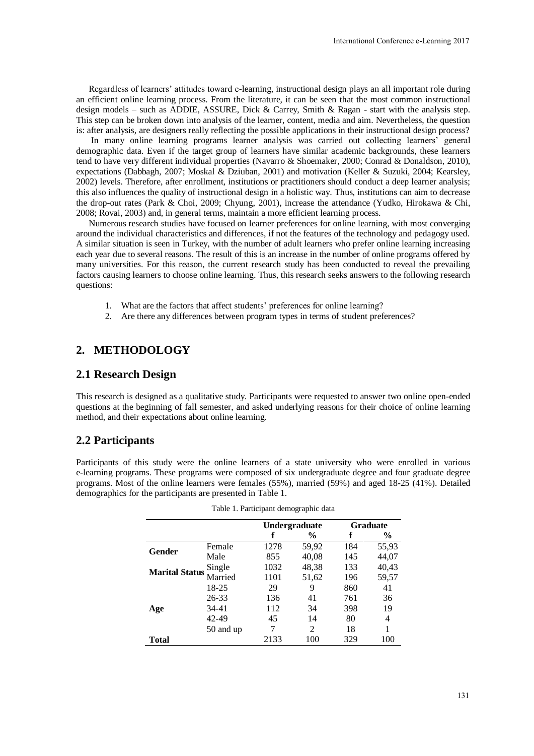Regardless of learners' attitudes toward e-learning, instructional design plays an all important role during an efficient online learning process. From the literature, it can be seen that the most common instructional design models – such as ADDIE, ASSURE, Dick & Carrey, Smith & Ragan - start with the analysis step. This step can be broken down into analysis of the learner, content, media and aim. Nevertheless, the question is: after analysis, are designers really reflecting the possible applications in their instructional design process?

 In many online learning programs learner analysis was carried out collecting learners' general demographic data. Even if the target group of learners have similar academic backgrounds, these learners tend to have very different individual properties (Navarro & Shoemaker, 2000; Conrad & Donaldson, 2010), expectations (Dabbagh, 2007; Moskal & Dziuban, 2001) and motivation (Keller & Suzuki, 2004; Kearsley, 2002) levels. Therefore, after enrollment, institutions or practitioners should conduct a deep learner analysis; this also influences the quality of instructional design in a holistic way. Thus, institutions can aim to decrease the drop-out rates (Park & Choi, 2009; Chyung, 2001), increase the attendance (Yudko, Hirokawa & Chi, 2008; Rovai, 2003) and, in general terms, maintain a more efficient learning process.

Numerous research studies have focused on learner preferences for online learning, with most converging around the individual characteristics and differences, if not the features of the technology and pedagogy used. A similar situation is seen in Turkey, with the number of adult learners who prefer online learning increasing each year due to several reasons. The result of this is an increase in the number of online programs offered by many universities. For this reason, the current research study has been conducted to reveal the prevailing factors causing learners to choose online learning. Thus, this research seeks answers to the following research questions:

- 1. What are the factors that affect students' preferences for online learning?
- 2. Are there any differences between program types in terms of student preferences?

# **2. METHODOLOGY**

### **2.1 Research Design**

This research is designed as a qualitative study. Participants were requested to answer two online open-ended questions at the beginning of fall semester, and asked underlying reasons for their choice of online learning method, and their expectations about online learning.

## **2.2 Participants**

Participants of this study were the online learners of a state university who were enrolled in various e-learning programs. These programs were composed of six undergraduate degree and four graduate degree programs. Most of the online learners were females (55%), married (59%) and aged 18-25 (41%). Detailed demographics for the participants are presented in Table 1.

|                       |           | <b>Undergraduate</b> |               | <b>Graduate</b> |               |
|-----------------------|-----------|----------------------|---------------|-----------------|---------------|
|                       |           |                      | $\frac{6}{9}$ |                 | $\frac{6}{9}$ |
| Gender                | Female    | 1278                 | 59,92         | 184             | 55,93         |
|                       | Male      | 855                  | 40,08         | 145             | 44,07         |
| <b>Marital Status</b> | Single    | 1032                 | 48,38         | 133             | 40,43         |
|                       | Married   | 1101                 | 51,62         | 196             | 59,57         |
| Age                   | 18-25     | 29                   | 9             | 860             | 41            |
|                       | $26 - 33$ | 136                  | 41            | 761             | 36            |
|                       | 34-41     | 112                  | 34            | 398             | 19            |
|                       | 42-49     | 45                   | 14            | 80              | 4             |
|                       | 50 and up | 7                    | 2             | 18              |               |
| Total                 |           | 2133                 | 100           | 329             | 100           |

|  |  | Table 1. Participant demographic data |  |
|--|--|---------------------------------------|--|
|--|--|---------------------------------------|--|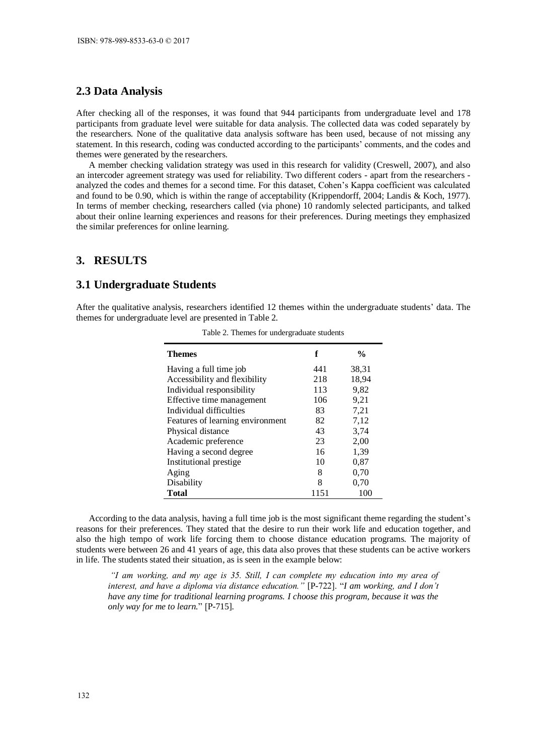## **2.3 Data Analysis**

After checking all of the responses, it was found that 944 participants from undergraduate level and 178 participants from graduate level were suitable for data analysis. The collected data was coded separately by the researchers. None of the qualitative data analysis software has been used, because of not missing any statement. In this research, coding was conducted according to the participants' comments, and the codes and themes were generated by the researchers.

A member checking validation strategy was used in this research for validity (Creswell, 2007), and also an intercoder agreement strategy was used for reliability. Two different coders - apart from the researchers analyzed the codes and themes for a second time. For this dataset, Cohen's Kappa coefficient was calculated and found to be 0.90, which is within the range of acceptability (Krippendorff, 2004; Landis & Koch, 1977). In terms of member checking, researchers called (via phone) 10 randomly selected participants, and talked about their online learning experiences and reasons for their preferences. During meetings they emphasized the similar preferences for online learning.

## **3. RESULTS**

#### **3.1 Undergraduate Students**

After the qualitative analysis, researchers identified 12 themes within the undergraduate students' data. The themes for undergraduate level are presented in Table 2.

| <b>Themes</b>                    | f    | $\frac{0}{0}$ |
|----------------------------------|------|---------------|
| Having a full time job           | 441  | 38,31         |
| Accessibility and flexibility    | 218  | 18,94         |
| Individual responsibility        | 113  | 9,82          |
| Effective time management        | 106  | 9,21          |
| Individual difficulties          | 83   | 7,21          |
| Features of learning environment | 82   | 7,12          |
| Physical distance                | 43   | 3,74          |
| Academic preference              | 23   | 2,00          |
| Having a second degree           | 16   | 1,39          |
| Institutional prestige           | 10   | 0,87          |
| Aging                            | 8    | 0,70          |
| Disability                       | 8    | 0.70          |
| <b>Total</b>                     | 1151 | 100           |

Table 2. Themes for undergraduate students

According to the data analysis, having a full time job is the most significant theme regarding the student's reasons for their preferences. They stated that the desire to run their work life and education together, and also the high tempo of work life forcing them to choose distance education programs. The majority of students were between 26 and 41 years of age, this data also proves that these students can be active workers in life. The students stated their situation, as is seen in the example below:

*"I am working, and my age is 35. Still, I can complete my education into my area of interest, and have a diploma via distance education."* [P-722]. "*I am working, and I don't have any time for traditional learning programs. I choose this program, because it was the only way for me to learn.*" [P-715].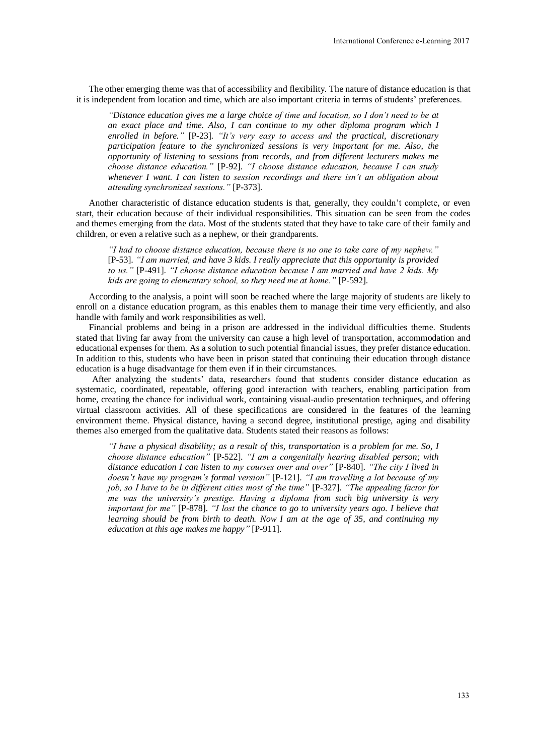The other emerging theme was that of accessibility and flexibility. The nature of distance education is that it is independent from location and time, which are also important criteria in terms of students' preferences.

*"Distance education gives me a large choice of time and location, so I don't need to be at an exact place and time. Also, I can continue to my other diploma program which I enrolled in before."* [P-23]. *"It's very easy to access and the practical, discretionary participation feature to the synchronized sessions is very important for me. Also, the opportunity of listening to sessions from records, and from different lecturers makes me choose distance education."* [P-92]. *"I choose distance education, because I can study whenever I want. I can listen to session recordings and there isn't an obligation about attending synchronized sessions."* [P-373].

Another characteristic of distance education students is that, generally, they couldn't complete, or even start, their education because of their individual responsibilities. This situation can be seen from the codes and themes emerging from the data. Most of the students stated that they have to take care of their family and children, or even a relative such as a nephew, or their grandparents.

*"I had to choose distance education, because there is no one to take care of my nephew."* [P-53]. *"I am married, and have 3 kids. I really appreciate that this opportunity is provided to us."* [P-491]. *"I choose distance education because I am married and have 2 kids. My kids are going to elementary school, so they need me at home."* [P-592].

According to the analysis, a point will soon be reached where the large majority of students are likely to enroll on a distance education program, as this enables them to manage their time very efficiently, and also handle with family and work responsibilities as well.

Financial problems and being in a prison are addressed in the individual difficulties theme. Students stated that living far away from the university can cause a high level of transportation, accommodation and educational expenses for them. As a solution to such potential financial issues, they prefer distance education. In addition to this, students who have been in prison stated that continuing their education through distance education is a huge disadvantage for them even if in their circumstances.

After analyzing the students' data, researchers found that students consider distance education as systematic, coordinated, repeatable, offering good interaction with teachers, enabling participation from home, creating the chance for individual work, containing visual-audio presentation techniques, and offering virtual classroom activities. All of these specifications are considered in the features of the learning environment theme. Physical distance, having a second degree, institutional prestige, aging and disability themes also emerged from the qualitative data. Students stated their reasons as follows:

*"I have a physical disability; as a result of this, transportation is a problem for me. So, I choose distance education"* [P-522]. *"I am a congenitally hearing disabled person; with distance education I can listen to my courses over and over"* [P-840]. *"The city I lived in doesn't have my program's formal version"* [P-121]. *"I am travelling a lot because of my job, so I have to be in different cities most of the time"* [P-327]. *"The appealing factor for me was the university's prestige. Having a diploma from such big university is very important for me"* [P-878]. *"I lost the chance to go to university years ago. I believe that learning should be from birth to death. Now I am at the age of 35, and continuing my education at this age makes me happy"* [P-911].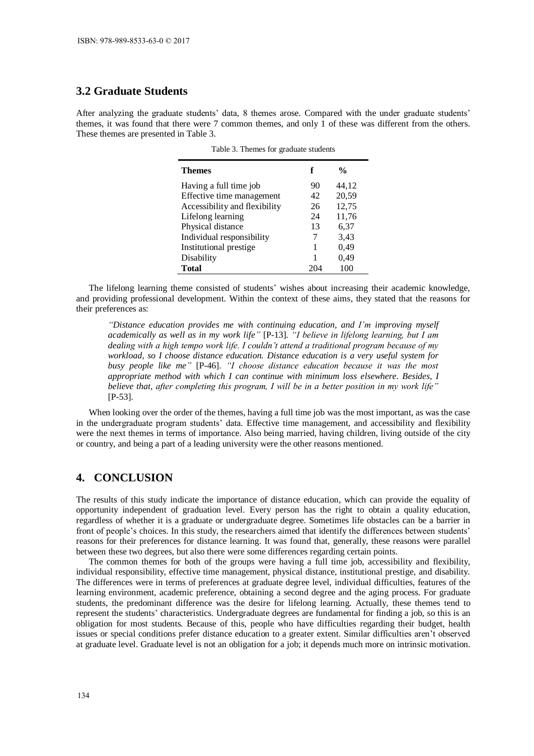# **3.2 Graduate Students**

After analyzing the graduate students' data, 8 themes arose. Compared with the under graduate students' themes, it was found that there were 7 common themes, and only 1 of these was different from the others. These themes are presented in Table 3.

Table 3. Themes for graduate students

| <b>Themes</b>                 | f  | $\frac{0}{0}$ |
|-------------------------------|----|---------------|
| Having a full time job        | 90 | 44,12         |
| Effective time management     | 42 | 20,59         |
| Accessibility and flexibility | 26 | 12,75         |
| Lifelong learning             | 24 | 11,76         |
| Physical distance             | 13 | 6,37          |
| Individual responsibility     |    | 3,43          |
| Institutional prestige        |    | 0,49          |
| Disability                    |    | 0,49          |
| <b>Total</b>                  |    |               |

The lifelong learning theme consisted of students' wishes about increasing their academic knowledge, and providing professional development. Within the context of these aims, they stated that the reasons for their preferences as:

*"Distance education provides me with continuing education, and I'm improving myself academically as well as in my work life"* [P-13]. *"I believe in lifelong learning, but I am dealing with a high tempo work life. I couldn't attend a traditional program because of my workload, so I choose distance education. Distance education is a very useful system for busy people like me"* [P-46]. *"I choose distance education because it was the most appropriate method with which I can continue with minimum loss elsewhere. Besides, I believe that, after completing this program, I will be in a better position in my work life"* [P-53].

When looking over the order of the themes, having a full time job was the most important, as was the case in the undergraduate program students' data. Effective time management, and accessibility and flexibility were the next themes in terms of importance. Also being married, having children, living outside of the city or country, and being a part of a leading university were the other reasons mentioned.

# **4. CONCLUSION**

The results of this study indicate the importance of distance education, which can provide the equality of opportunity independent of graduation level. Every person has the right to obtain a quality education, regardless of whether it is a graduate or undergraduate degree. Sometimes life obstacles can be a barrier in front of people's choices. In this study, the researchers aimed that identify the differences between students' reasons for their preferences for distance learning. It was found that, generally, these reasons were parallel between these two degrees, but also there were some differences regarding certain points.

The common themes for both of the groups were having a full time job, accessibility and flexibility, individual responsibility, effective time management, physical distance, institutional prestige, and disability. The differences were in terms of preferences at graduate degree level, individual difficulties, features of the learning environment, academic preference, obtaining a second degree and the aging process. For graduate students, the predominant difference was the desire for lifelong learning. Actually, these themes tend to represent the students' characteristics. Undergraduate degrees are fundamental for finding a job, so this is an obligation for most students. Because of this, people who have difficulties regarding their budget, health issues or special conditions prefer distance education to a greater extent. Similar difficulties aren't observed at graduate level. Graduate level is not an obligation for a job; it depends much more on intrinsic motivation.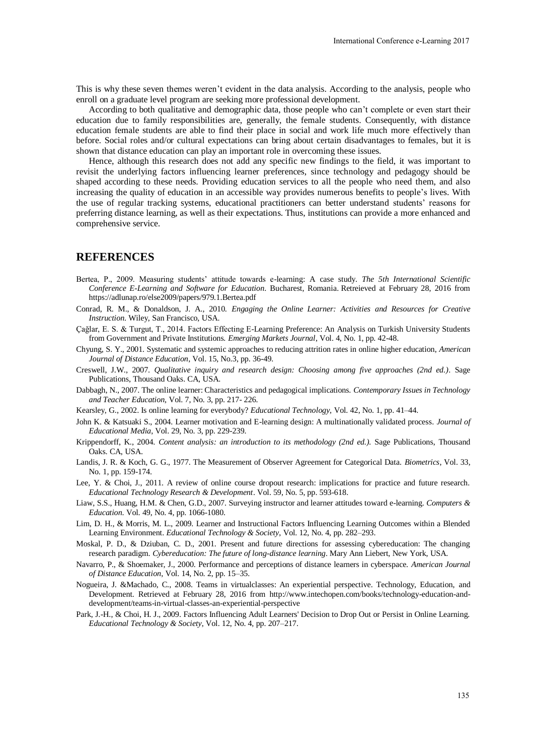This is why these seven themes weren't evident in the data analysis. According to the analysis, people who enroll on a graduate level program are seeking more professional development.

According to both qualitative and demographic data, those people who can't complete or even start their education due to family responsibilities are, generally, the female students. Consequently, with distance education female students are able to find their place in social and work life much more effectively than before. Social roles and/or cultural expectations can bring about certain disadvantages to females, but it is shown that distance education can play an important role in overcoming these issues.

Hence, although this research does not add any specific new findings to the field, it was important to revisit the underlying factors influencing learner preferences, since technology and pedagogy should be shaped according to these needs. Providing education services to all the people who need them, and also increasing the quality of education in an accessible way provides numerous benefits to people's lives. With the use of regular tracking systems, educational practitioners can better understand students' reasons for preferring distance learning, as well as their expectations. Thus, institutions can provide a more enhanced and comprehensive service.

#### **REFERENCES**

- Bertea, P., 2009. Measuring students' attitude towards e-learning: A case study. *The 5th International Scientific Conference E-Learning and Software for Education*. Bucharest, Romania. Retreieved at February 28, 2016 from https://adlunap.ro/else2009/papers/979.1.Bertea.pdf
- Conrad, R. M., & Donaldson, J. A., 2010. *Engaging the Online Learner: Activities and Resources for Creative Instruction*. Wiley, San Francisco, USA.
- Çağlar, E. S. & Turgut, T., 2014. Factors Effecting E-Learning Preference: An Analysis on Turkish University Students from Government and Private Institutions. *Emerging Markets Journal*, Vol. 4, No. 1, pp. 42-48.
- Chyung, S. Y., 2001. Systematic and systemic approaches to reducing attrition rates in online higher education, *American Journal of Distance Education*, Vol. 15, No.3, pp. 36-49.
- Creswell, J.W., 2007. *Qualitative inquiry and research design: Choosing among five approaches (2nd ed.)*. Sage Publications, Thousand Oaks. CA, USA.
- Dabbagh, N., 2007. The online learner: Characteristics and pedagogical implications. *Contemporary Issues in Technology and Teacher Education*, Vol. 7, No. 3, pp. 217- 226.
- Kearsley, G., 2002. Is online learning for everybody? *Educational Technology,* Vol. 42, No. 1, pp. 41–44.
- John K. & Katsuaki S., 2004. Learner motivation and E-learning design: A multinationally validated process. *Journal of Educational Media*, Vol. 29, No. 3, pp. 229-239.
- Krippendorff, K., 2004. *Content analysis: an introduction to its methodology (2nd ed.).* Sage Publications, Thousand Oaks. CA, USA.
- Landis, J. R. & Koch, G. G., 1977. The Measurement of Observer Agreement for Categorical Data. *Biometrics*, Vol. 33, No. 1, pp. 159-174.
- Lee, Y. & Choi, J., 2011. A review of online course dropout research: implications for practice and future research. *Educational Technology Research & Development*. Vol. 59, No. 5, pp. 593-618.
- Liaw, S.S., Huang, H.M. & Chen, G.D., 2007. Surveying instructor and learner attitudes toward e-learning. *Computers & Education*. Vol. 49, No. 4, pp. 1066-1080.
- Lim, D. H., & Morris, M. L., 2009. Learner and Instructional Factors Influencing Learning Outcomes within a Blended Learning Environment. *Educational Technology & Society*, Vol. 12, No. 4, pp. 282–293.
- Moskal, P. D., & Dziuban, C. D., 2001. Present and future directions for assessing cybereducation: The changing research paradigm. *Cybereducation: The future of long-distance learning*. Mary Ann Liebert, New York, USA.
- Navarro, P., & Shoemaker, J., 2000. Performance and perceptions of distance learners in cyberspace. *American Journal of Distance Education*, Vol. 14, No. 2, pp. 15–35.
- Nogueira, J. &Machado, C., 2008. Teams in virtualclasses: An experiential perspective. Technology, Education, and Development. Retrieved at February 28, 2016 from http://www.intechopen.com/books/technology-education-anddevelopment/teams-in-virtual-classes-an-experiential-perspective
- Park, J.-H., & Choi, H. J., 2009. Factors Influencing Adult Learners' Decision to Drop Out or Persist in Online Learning. *Educational Technology & Society*, Vol. 12, No. 4, pp. 207–217.